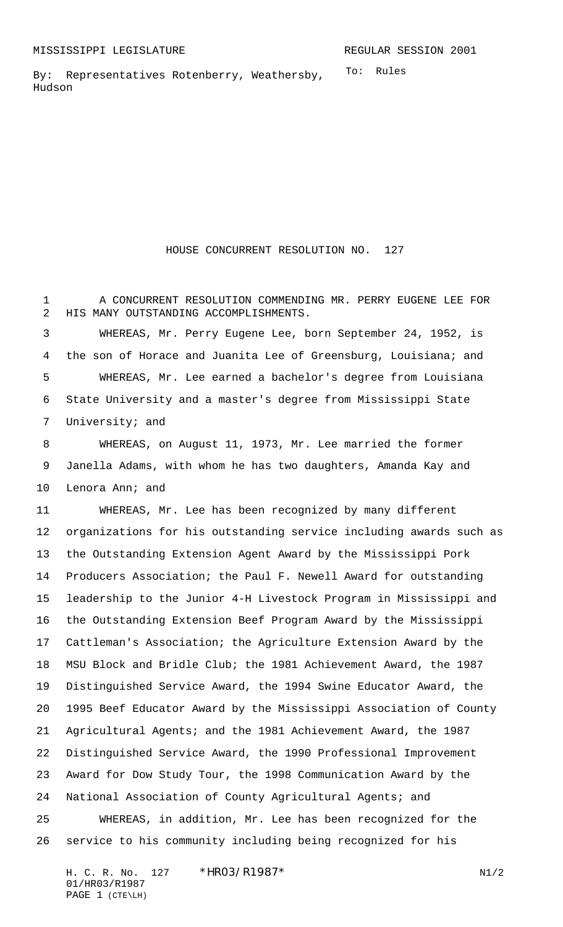To: Rules By: Representatives Rotenberry, Weathersby, Hudson

## HOUSE CONCURRENT RESOLUTION NO. 127

 A CONCURRENT RESOLUTION COMMENDING MR. PERRY EUGENE LEE FOR HIS MANY OUTSTANDING ACCOMPLISHMENTS.

 WHEREAS, Mr. Perry Eugene Lee, born September 24, 1952, is the son of Horace and Juanita Lee of Greensburg, Louisiana; and WHEREAS, Mr. Lee earned a bachelor's degree from Louisiana State University and a master's degree from Mississippi State University; and

 WHEREAS, on August 11, 1973, Mr. Lee married the former Janella Adams, with whom he has two daughters, Amanda Kay and Lenora Ann; and

 WHEREAS, Mr. Lee has been recognized by many different organizations for his outstanding service including awards such as the Outstanding Extension Agent Award by the Mississippi Pork Producers Association; the Paul F. Newell Award for outstanding leadership to the Junior 4-H Livestock Program in Mississippi and the Outstanding Extension Beef Program Award by the Mississippi Cattleman's Association; the Agriculture Extension Award by the MSU Block and Bridle Club; the 1981 Achievement Award, the 1987 Distinguished Service Award, the 1994 Swine Educator Award, the 1995 Beef Educator Award by the Mississippi Association of County Agricultural Agents; and the 1981 Achievement Award, the 1987 Distinguished Service Award, the 1990 Professional Improvement Award for Dow Study Tour, the 1998 Communication Award by the National Association of County Agricultural Agents; and WHEREAS, in addition, Mr. Lee has been recognized for the

service to his community including being recognized for his

H. C. R. No. 127 \* HRO3/R1987\* N1/2 01/HR03/R1987 PAGE 1 (CTE\LH)